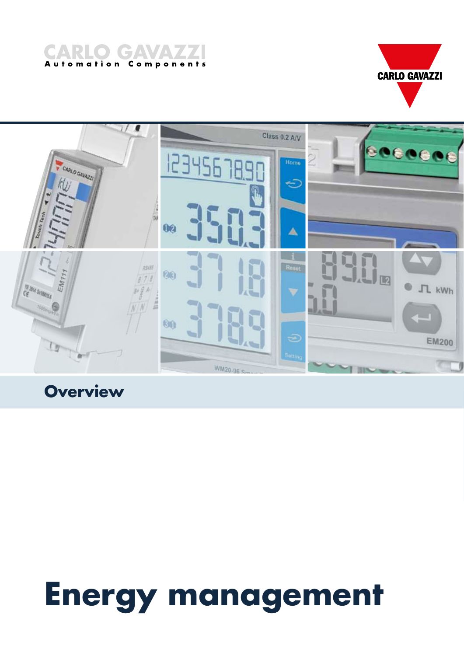





**Building Automatic Properties** 

# **Energy management**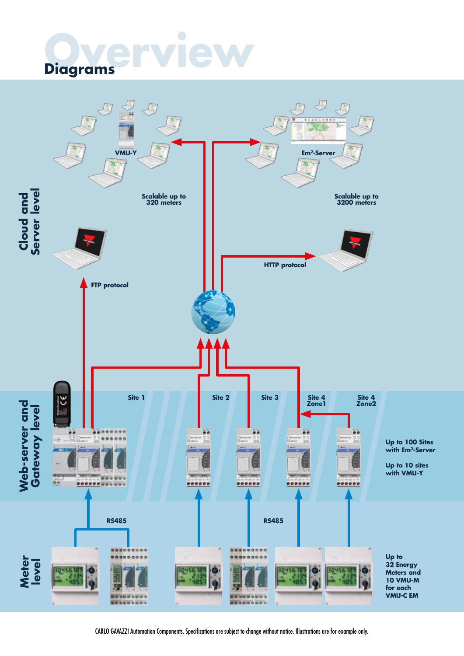